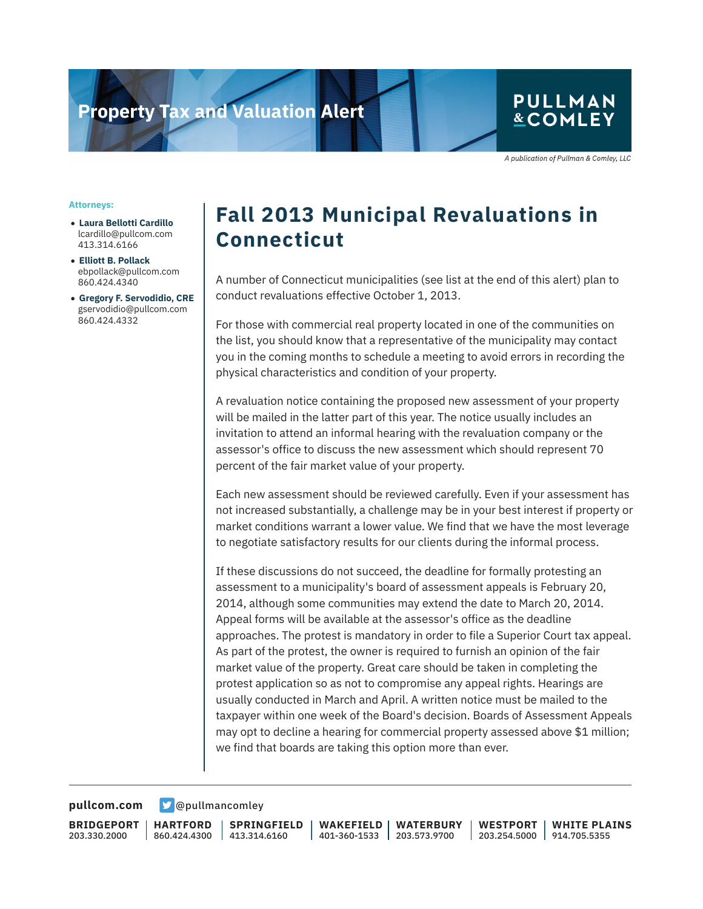# **Property Tax and Valuation Alert**

### **PULLMAN** & COMLEY

A publication of Pullman & Comley, LLC

#### **Attorneys:**

- **Laura Bellotti Cardillo** lcardillo@pullcom.com 413.314.6166
- **Elliott B. Pollack** ebpollack@pullcom.com 860.424.4340
- **Gregory F. Servodidio, CRE** gservodidio@pullcom.com 860.424.4332

## **Fall 2013 Municipal Revaluations in Connecticut**

A number of Connecticut municipalities (see list at the end of this alert) plan to conduct revaluations effective October 1, 2013.

For those with commercial real property located in one of the communities on the list, you should know that a representative of the municipality may contact you in the coming months to schedule a meeting to avoid errors in recording the physical characteristics and condition of your property.

A revaluation notice containing the proposed new assessment of your property will be mailed in the latter part of this year. The notice usually includes an invitation to attend an informal hearing with the revaluation company or the assessor's office to discuss the new assessment which should represent 70 percent of the fair market value of your property.

Each new assessment should be reviewed carefully. Even if your assessment has not increased substantially, a challenge may be in your best interest if property or market conditions warrant a lower value. We find that we have the most leverage to negotiate satisfactory results for our clients during the informal process.

If these discussions do not succeed, the deadline for formally protesting an assessment to a municipality's board of assessment appeals is February 20, 2014, although some communities may extend the date to March 20, 2014. Appeal forms will be available at the assessor's office as the deadline approaches. The protest is mandatory in order to file a Superior Court tax appeal. As part of the protest, the owner is required to furnish an opinion of the fair market value of the property. Great care should be taken in completing the protest application so as not to compromise any appeal rights. Hearings are usually conducted in March and April. A written notice must be mailed to the taxpayer within one week of the Board's decision. Boards of Assessment Appeals may opt to decline a hearing for commercial property assessed above \$1 million; we find that boards are taking this option more than ever.

**[pullcom.com](https://www.pullcom.com) g** [@pullmancomley](https://twitter.com/PullmanComley)

**BRIDGEPORT** 203.330.2000

**HARTFORD** 860.424.4300 413.314.6160

**SPRINGFIELD WAKEFIELD**

401-360-1533 203.573.9700 **WATERBURY**

**WESTPORT** 203.254.5000 914.705.5355 **WHITE PLAINS**